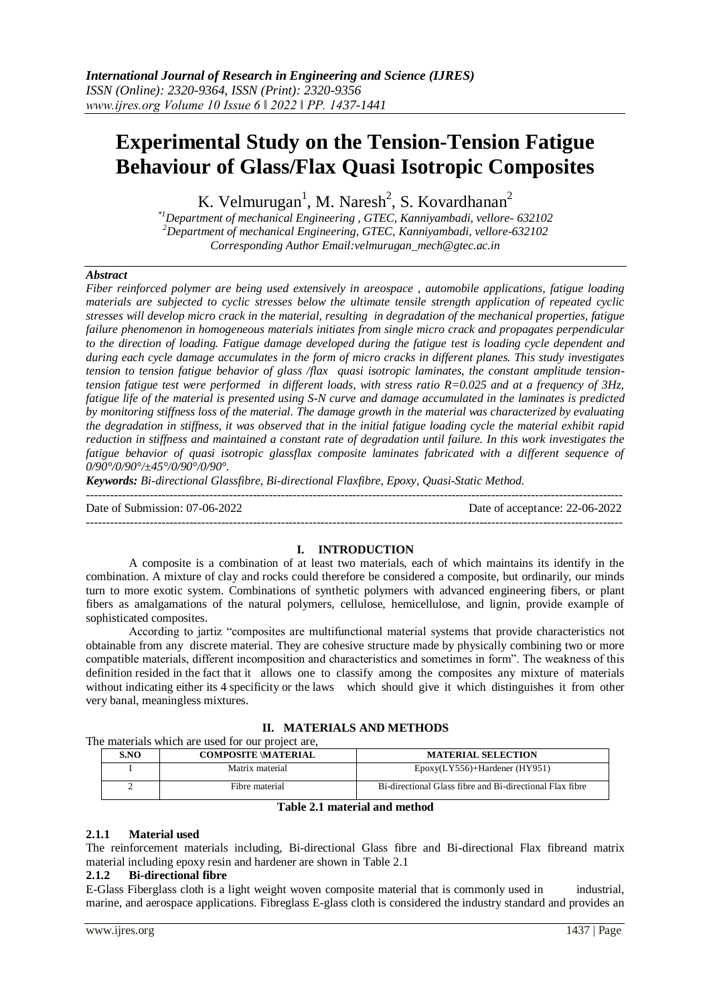# **Experimental Study on the Tension-Tension Fatigue Behaviour of Glass/Flax Quasi Isotropic Composites**

K. Velmurugan<sup>1</sup>, M. Naresh<sup>2</sup>, S. Kovardhanan<sup>2</sup>

*\*1Department of mechanical Engineering , GTEC, Kanniyambadi, vellore- 632102 <sup>2</sup>Department of mechanical Engineering, GTEC, Kanniyambadi, vellore-632102 Corresponding Author Email:velmurugan\_mech@gtec.ac.in*

# *Abstract*

*Fiber reinforced polymer are being used extensively in areospace , automobile applications, fatigue loading materials are subjected to cyclic stresses below the ultimate tensile strength application of repeated cyclic stresses will develop micro crack in the material, resulting in degradation of the mechanical properties, fatigue failure phenomenon in homogeneous materials initiates from single micro crack and propagates perpendicular to the direction of loading. Fatigue damage developed during the fatigue test is loading cycle dependent and during each cycle damage accumulates in the form of micro cracks in different planes. This study investigates tension to tension fatigue behavior of glass /flax quasi isotropic laminates, the constant amplitude tensiontension fatigue test were performed in different loads, with stress ratio R=0.025 and at a frequency of 3Hz, fatigue life of the material is presented using S-N curve and damage accumulated in the laminates is predicted by monitoring stiffness loss of the material. The damage growth in the material was characterized by evaluating the degradation in stiffness, it was observed that in the initial fatigue loading cycle the material exhibit rapid reduction in stiffness and maintained a constant rate of degradation until failure. In this work investigates the*  fatigue behavior of quasi isotropic glassflax composite laminates fabricated with a different sequence of *0/90°/0/90°/±45°/0/90°/0/90°.*

*Keywords: Bi-directional Glassfibre, Bi-directional Flaxfibre, Epoxy, Quasi-Static Method.*

 $-1-\frac{1}{2}$ Date of Submission: 07-06-2022 Date of acceptance: 22-06-2022

# **I. INTRODUCTION**

A composite is a combination of at least two materials, each of which maintains its identify in the combination. A mixture of clay and rocks could therefore be considered a composite, but ordinarily, our minds turn to more exotic system. Combinations of synthetic polymers with advanced engineering fibers, or plant fibers as amalgamations of the natural polymers, cellulose, hemicellulose, and lignin, provide example of sophisticated composites.

According to jartiz "composites are multifunctional material systems that provide characteristics not obtainable from any discrete material. They are cohesive structure made by physically combining two or more compatible materials, different incomposition and characteristics and sometimes in form". The weakness of this definition resided in the fact that it allows one to classify among the composites any mixture of materials without indicating either its 4 specificity or the laws which should give it which distinguishes it from other very banal, meaningless mixtures.

# **II. MATERIALS AND METHODS**

The materials which are used for our project are.

| S.NO | <b>COMPOSITE MATERIAL</b> | <b>MATERIAL SELECTION</b>                                |
|------|---------------------------|----------------------------------------------------------|
|      | Matrix material           | $Epoxy(LY556) + Hardener (HY951)$                        |
|      | Fibre material            | Bi-directional Glass fibre and Bi-directional Flax fibre |

## **Table 2.1 material and method**

#### **2.1.1 Material used**

The reinforcement materials including, Bi-directional Glass fibre and Bi-directional Flax fibreand matrix material including epoxy resin and hardener are shown in Table 2.1

# **2.1.2 Bi-directional fibre**

E-Glass Fiberglass cloth is a light weight woven composite material that is commonly used in industrial, marine, and aerospace applications. Fibreglass E-glass cloth is considered the industry standard and provides an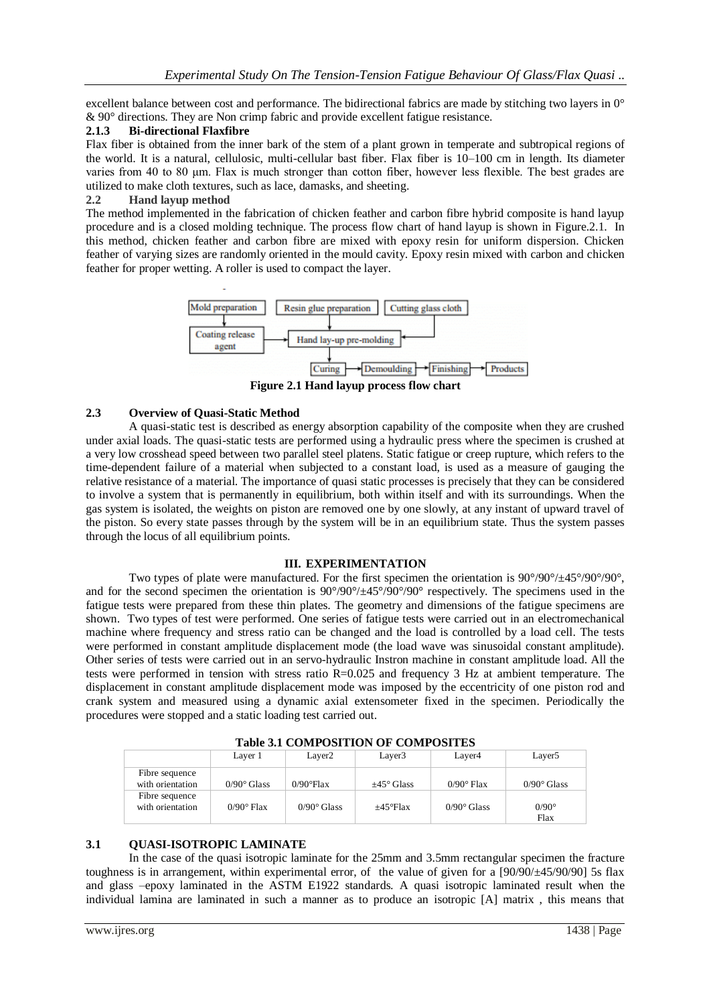excellent balance between cost and performance. The bidirectional fabrics are made by stitching two layers in 0° & 90° directions. They are Non crimp fabric and provide excellent fatigue resistance.

## **2.1.3 Bi-directional Flaxfibre**

Flax fiber is obtained from the inner bark of the stem of a plant grown in temperate and subtropical regions of the world. It is a natural, cellulosic, multi-cellular bast fiber. Flax fiber is 10–100 cm in length. Its diameter varies from 40 to 80 μm. Flax is much stronger than cotton fiber, however less flexible. The best grades are utilized to make cloth textures, such as lace, damasks, and sheeting.

## **2.2 Hand layup method**

The method implemented in the fabrication of chicken feather and carbon fibre hybrid composite is hand layup procedure and is a closed molding technique. The process flow chart of hand layup is shown in Figure.2.1. In this method, chicken feather and carbon fibre are mixed with epoxy resin for uniform dispersion. Chicken feather of varying sizes are randomly oriented in the mould cavity. Epoxy resin mixed with carbon and chicken feather for proper wetting. A roller is used to compact the layer.



**Figure 2.1 Hand layup process flow chart**

# **2.3 Overview of Quasi-Static Method**

A quasi-static test is described as energy absorption capability of the composite when they are crushed under axial loads. The quasi-static tests are performed using a hydraulic press where the specimen is crushed at a very low crosshead speed between two parallel steel platens. Static fatigue or creep rupture, which refers to the time-dependent failure of a material when subjected to a constant load, is used as a measure of gauging the relative resistance of a material. The importance of quasi static processes is precisely that they can be considered to involve a system that is permanently in equilibrium, both within itself and with its surroundings. When the gas system is isolated, the weights on piston are removed one by one slowly, at any instant of upward travel of the piston. So every state passes through by the system will be in an equilibrium state. Thus the system passes through the locus of all equilibrium points.

# **III. EXPERIMENTATION**

Two types of plate were manufactured. For the first specimen the orientation is  $90^{\circ}/90^{\circ}/\pm45^{\circ}/90^{\circ}/90^{\circ}$ , and for the second specimen the orientation is 90°/90°/±45°/90°/90° respectively. The specimens used in the fatigue tests were prepared from these thin plates. The geometry and dimensions of the fatigue specimens are shown. Two types of test were performed. One series of fatigue tests were carried out in an electromechanical machine where frequency and stress ratio can be changed and the load is controlled by a load cell. The tests were performed in constant amplitude displacement mode (the load wave was sinusoidal constant amplitude). Other series of tests were carried out in an servo-hydraulic Instron machine in constant amplitude load. All the tests were performed in tension with stress ratio R=0.025 and frequency 3 Hz at ambient temperature. The displacement in constant amplitude displacement mode was imposed by the eccentricity of one piston rod and crank system and measured using a dynamic axial extensometer fixed in the specimen. Periodically the procedures were stopped and a static loading test carried out.

| Table 3.1 CONIT OBTTION OF CONIT OBTTEB |                      |                      |                      |                    |                      |
|-----------------------------------------|----------------------|----------------------|----------------------|--------------------|----------------------|
|                                         | Laver 1              | Laver <sub>2</sub>   | Layer <sub>3</sub>   | Layer4             | Layer <sub>5</sub>   |
| Fibre sequence<br>with orientation      | $0/90^{\circ}$ Glass | $0/90$ °Flax         | $\pm 45^\circ$ Glass | $0/90^\circ$ Flax  | $0/90^{\circ}$ Glass |
| Fibre sequence<br>with orientation      | $0/90^\circ$ Flax    | $0/90^{\circ}$ Glass | $+45^{\circ}$ Flax   | $0/90^\circ$ Glass | $0/90^\circ$<br>Flax |

**Table 3.1 COMPOSITION OF COMPOSITES**

# **3.1 QUASI-ISOTROPIC LAMINATE**

In the case of the quasi isotropic laminate for the 25mm and 3.5mm rectangular specimen the fracture toughness is in arrangement, within experimental error, of the value of given for a [90/90/±45/90/90] 5s flax and glass –epoxy laminated in the ASTM E1922 standards. A quasi isotropic laminated result when the individual lamina are laminated in such a manner as to produce an isotropic [A] matrix , this means that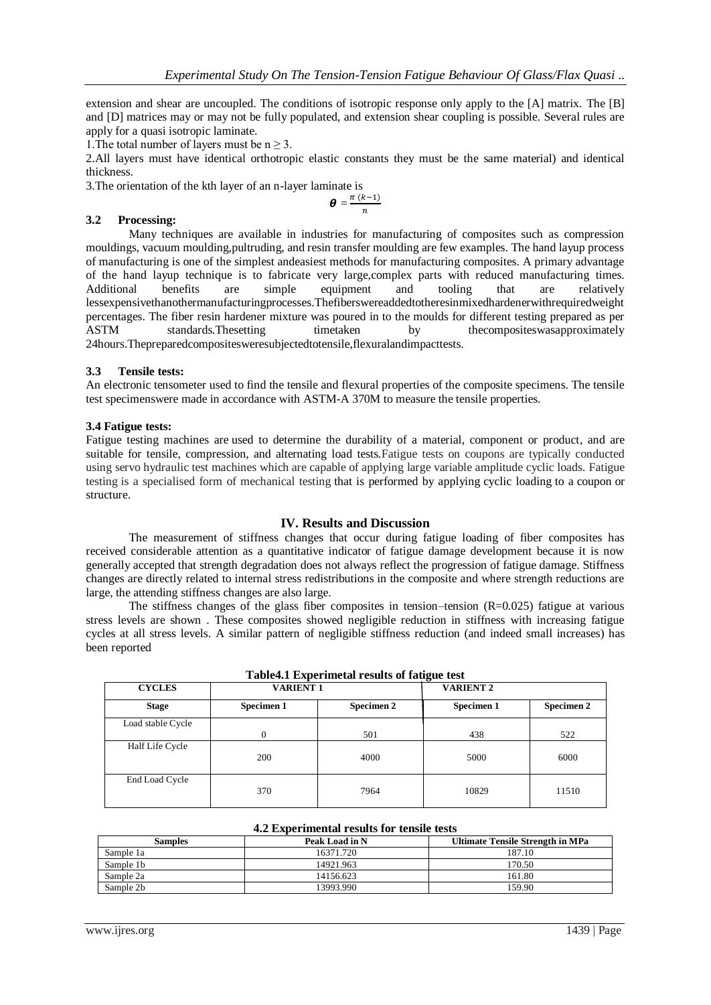extension and shear are uncoupled. The conditions of isotropic response only apply to the [A] matrix. The [B] and [D] matrices may or may not be fully populated, and extension shear coupling is possible. Several rules are apply for a quasi isotropic laminate.

1. The total number of layers must be  $n > 3$ .

2.All layers must have identical orthotropic elastic constants they must be the same material) and identical thickness.

 $\boldsymbol{n}$ 

 $\boldsymbol{\theta}=\frac{\pi}{2}$ 

3.The orientation of the kth layer of an n-layer laminate is

#### **3.2 Processing:**

Many techniques are available in industries for manufacturing of composites such as compression mouldings, vacuum moulding,pultruding, and resin transfer moulding are few examples. The hand layup process of manufacturing is one of the simplest andeasiest methods for manufacturing composites. A primary advantage of the hand layup technique is to fabricate very large,complex parts with reduced manufacturing times. Additional benefits are simple equipment and tooling that are relatively lessexpensivethanothermanufacturingprocesses.Thefiberswereaddedtotheresinmixedhardenerwithrequiredweight percentages. The fiber resin hardener mixture was poured in to the moulds for different testing prepared as per<br>ASTM standards. Thesetting timetaken by the<br>composites was approximately ASTM standards. Thesetting timetaken by the omposites was approximately 24hours.Thepreparedcompositesweresubjectedtotensile,flexuralandimpacttests.

#### **3.3 Tensile tests:**

An electronic tensometer used to find the tensile and flexural properties of the composite specimens. The tensile test specimenswere made in accordance with ASTM-A 370M to measure the tensile properties.

#### **3.4 Fatigue tests:**

Fatigue testing machines are used to determine the durability of a material, component or product, and are suitable for tensile, compression, and alternating load tests.Fatigue tests on coupons are typically conducted using servo hydraulic test machines which are capable of applying large variable amplitude cyclic loads. Fatigue testing is a specialised form of mechanical testing that is performed by applying cyclic loading to a coupon or structure.

#### **IV. Results and Discussion**

The measurement of stiffness changes that occur during fatigue loading of fiber composites has received considerable attention as a quantitative indicator of fatigue damage development because it is now generally accepted that strength degradation does not always reflect the progression of fatigue damage. Stiffness changes are directly related to internal stress redistributions in the composite and where strength reductions are large, the attending stiffness changes are also large.

The stiffness changes of the glass fiber composites in tension–tension  $(R=0.025)$  fatigue at various stress levels are shown . These composites showed negligible reduction in stiffness with increasing fatigue cycles at all stress levels. A similar pattern of negligible stiffness reduction (and indeed small increases) has been reported

| <b>CYCLES</b>     | Tube in Experiment results of fungue test<br><b>VARIENT 1</b> |            | <b>VARIENT 2</b> |            |
|-------------------|---------------------------------------------------------------|------------|------------------|------------|
| <b>Stage</b>      | <b>Specimen 1</b>                                             | Specimen 2 | Specimen 1       | Specimen 2 |
| Load stable Cycle |                                                               |            |                  |            |
|                   | 0                                                             | 501        | 438              | 522        |
| Half Life Cycle   | 200                                                           | 4000       | 5000             | 6000       |
| End Load Cycle    | 370                                                           | 7964       | 10829            | 11510      |

| Table 4.1 Experimetal results of fatigue test |  |  |  |
|-----------------------------------------------|--|--|--|
|-----------------------------------------------|--|--|--|

## **4.2 Experimental results for tensile tests**

| <b>Samples</b> | Peak Load in N | <b>Ultimate Tensile Strength in MPa</b> |
|----------------|----------------|-----------------------------------------|
| Sample 1a      | 16371.720      | 187.10                                  |
| Sample 1b      | 14921.963      | 170.50                                  |
| Sample 2a      | 14156.623      | 161.80                                  |
| Sample 2b      | 13993.990      | 159.90                                  |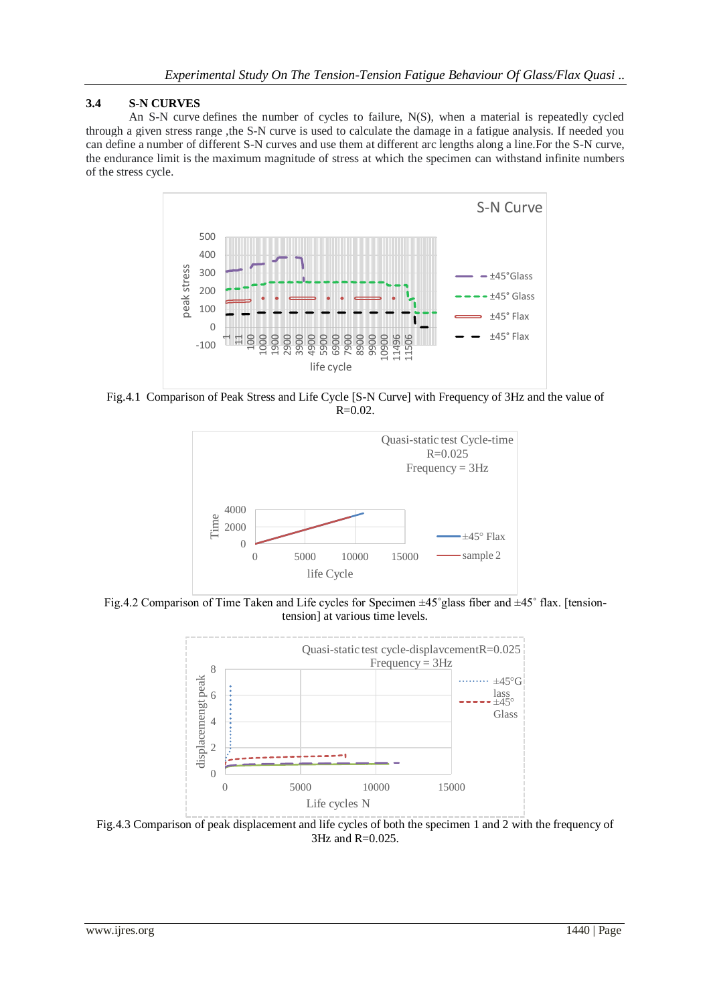# **3.4 S-N CURVES**

An S-N curve defines the number of cycles to failure, N(S), when a material is repeatedly cycled through a given stress range ,the S-N curve is used to calculate the damage in a fatigue analysis. If needed you can define a number of different S-N curves and use them at different arc lengths along a line.For the S-N curve, the endurance limit is the maximum magnitude of stress at which the specimen can withstand infinite numbers of the stress cycle.



Fig.4.1 Comparison of Peak Stress and Life Cycle [S-N Curve] with Frequency of 3Hz and the value of R=0.02.



Fig.4.2 Comparison of Time Taken and Life cycles for Specimen ±45˚glass fiber and ±45˚ flax. [tensiontension] at various time levels.



Fig.4.3 Comparison of peak displacement and life cycles of both the specimen 1 and 2 with the frequency of 3Hz and R=0.025.